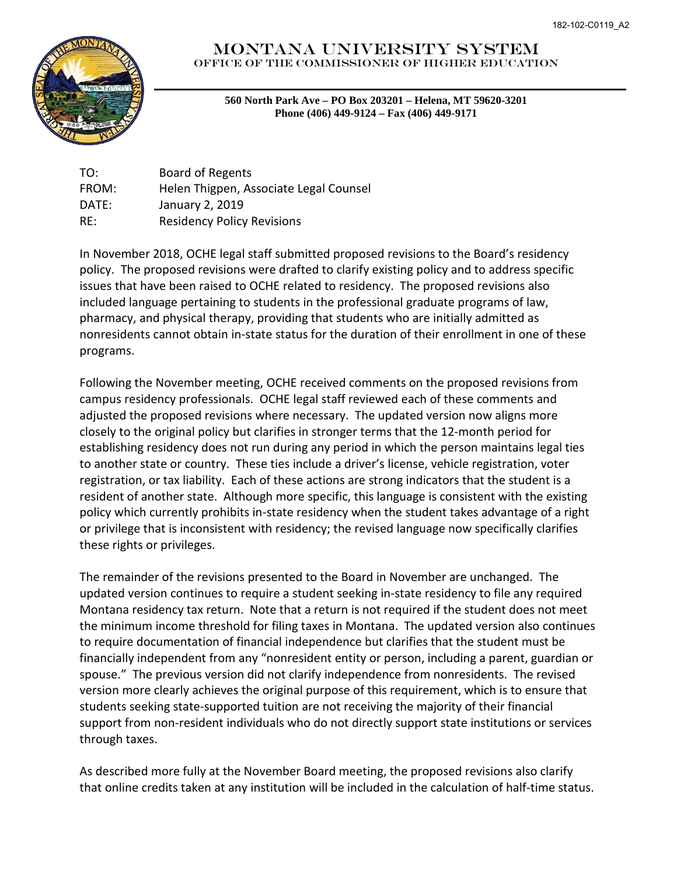

## Montana University System Office of the commissioner of Higher Education

**560 North Park Ave – PO Box 203201 – Helena, MT 59620-3201 Phone (406) 449-9124 – Fax (406) 449-9171**

TO: Board of Regents FROM: Helen Thigpen, Associate Legal Counsel DATE: January 2, 2019 RE: Residency Policy Revisions

In November 2018, OCHE legal staff submitted proposed revisions to the Board's residency policy. The proposed revisions were drafted to clarify existing policy and to address specific issues that have been raised to OCHE related to residency. The proposed revisions also included language pertaining to students in the professional graduate programs of law, pharmacy, and physical therapy, providing that students who are initially admitted as nonresidents cannot obtain in-state status for the duration of their enrollment in one of these programs.

Following the November meeting, OCHE received comments on the proposed revisions from campus residency professionals. OCHE legal staff reviewed each of these comments and adjusted the proposed revisions where necessary. The updated version now aligns more closely to the original policy but clarifies in stronger terms that the 12-month period for establishing residency does not run during any period in which the person maintains legal ties to another state or country. These ties include a driver's license, vehicle registration, voter registration, or tax liability. Each of these actions are strong indicators that the student is a resident of another state. Although more specific, this language is consistent with the existing policy which currently prohibits in-state residency when the student takes advantage of a right or privilege that is inconsistent with residency; the revised language now specifically clarifies these rights or privileges.

The remainder of the revisions presented to the Board in November are unchanged. The updated version continues to require a student seeking in-state residency to file any required Montana residency tax return. Note that a return is not required if the student does not meet the minimum income threshold for filing taxes in Montana. The updated version also continues to require documentation of financial independence but clarifies that the student must be financially independent from any "nonresident entity or person, including a parent, guardian or spouse." The previous version did not clarify independence from nonresidents. The revised version more clearly achieves the original purpose of this requirement, which is to ensure that students seeking state-supported tuition are not receiving the majority of their financial support from non-resident individuals who do not directly support state institutions or services through taxes.

As described more fully at the November Board meeting, the proposed revisions also clarify that online credits taken at any institution will be included in the calculation of half-time status.